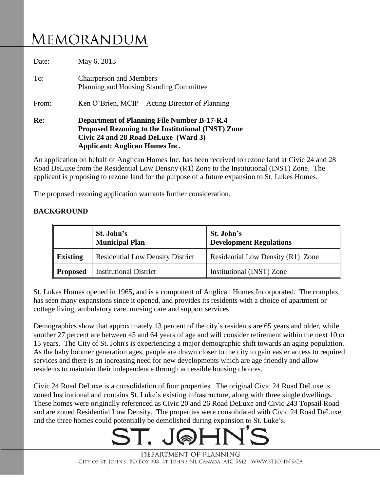# MEMORANDUM

| Re:   | <b>Department of Planning File Number B-17-R.4</b><br>Proposed Rezoning to the Institutional (INST) Zone<br>Civic 24 and 28 Road DeLuxe (Ward 3)<br><b>Applicant: Anglican Homes Inc.</b> |  |
|-------|-------------------------------------------------------------------------------------------------------------------------------------------------------------------------------------------|--|
| From: | Ken O'Brien, MCIP – Acting Director of Planning                                                                                                                                           |  |
| To:   | <b>Chairperson and Members</b><br>Planning and Housing Standing Committee                                                                                                                 |  |
| Date: | May 6, 2013                                                                                                                                                                               |  |

An application on behalf of Anglican Homes Inc. has been received to rezone land at Civic 24 and 28 Road DeLuxe from the Residential Low Density (R1) Zone to the Institutional (INST) Zone. The applicant is proposing to rezone land for the purpose of a future expansion to St. Lukes Homes.

The proposed rezoning application warrants further consideration.

# **BACKGROUND**

|                 | St. John's<br><b>Municipal Plan</b>     | St. John's<br><b>Development Regulations</b> |
|-----------------|-----------------------------------------|----------------------------------------------|
| <b>Existing</b> | <b>Residential Low Density District</b> | Residential Low Density (R1) Zone            |
| <b>Proposed</b> | <b>Institutional District</b>           | Institutional (INST) Zone                    |

St. Lukes Homes opened in 1965**,** and is a component of Anglican Homes Incorporated. The complex has seen many expansions since it opened, and provides its residents with a choice of apartment or cottage living, ambulatory care, nursing care and support services.

Demographics show that approximately 13 percent of the city's residents are 65 years and older, while another 27 percent are between 45 and 64 years of age and will consider retirement within the next 10 or 15 years. The City of St. John's is experiencing a major demographic shift towards an aging population. As the baby boomer generation ages, people are drawn closer to the city to gain easier access to required services and there is an increasing need for new developments which are age friendly and allow residents to maintain their independence through accessible housing choices.

Civic 24 Road DeLuxe is a consolidation of four properties. The original Civic 24 Road DeLuxe is zoned Institutional and contains St. Luke's existing infrastructure, along with three single dwellings. These homes were originally referenced as Civic 20 and 26 Road DeLuxe and Civic 243 Topsail Road and are zoned Residential Low Density. The properties were consolidated with Civic 24 Road DeLuxe, and the three homes could potentially be demolished during expansion to St. Luke's.



DEPARTMENT OF PLANNING CITY OF ST. JOHN'S PO BOX 908 ST. JOHN'S NL CANADA A1C 5M2 WWW.STJOHN'S.CA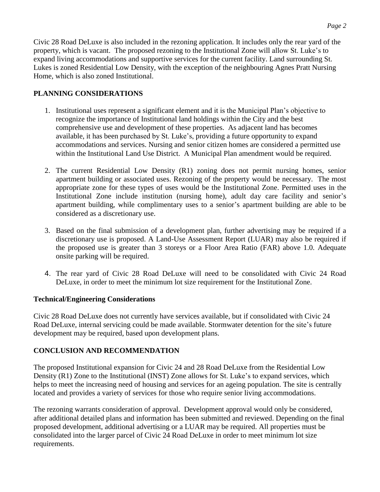Civic 28 Road DeLuxe is also included in the rezoning application. It includes only the rear yard of the property, which is vacant. The proposed rezoning to the Institutional Zone will allow St. Luke's to expand living accommodations and supportive services for the current facility. Land surrounding St. Lukes is zoned Residential Low Density, with the exception of the neighbouring Agnes Pratt Nursing Home, which is also zoned Institutional.

# **PLANNING CONSIDERATIONS**

- 1. Institutional uses represent a significant element and it is the Municipal Plan's objective to recognize the importance of Institutional land holdings within the City and the best comprehensive use and development of these properties. As adjacent land has becomes available, it has been purchased by St. Luke's, providing a future opportunity to expand accommodations and services. Nursing and senior citizen homes are considered a permitted use within the Institutional Land Use District. A Municipal Plan amendment would be required.
- 2. The current Residential Low Density (R1) zoning does not permit nursing homes, senior apartment building or associated uses. Rezoning of the property would be necessary. The most appropriate zone for these types of uses would be the Institutional Zone. Permitted uses in the Institutional Zone include institution (nursing home), adult day care facility and senior's apartment building, while complimentary uses to a senior's apartment building are able to be considered as a discretionary use.
- 3. Based on the final submission of a development plan, further advertising may be required if a discretionary use is proposed. A Land-Use Assessment Report (LUAR) may also be required if the proposed use is greater than 3 storeys or a Floor Area Ratio (FAR) above 1.0. Adequate onsite parking will be required.
- 4. The rear yard of Civic 28 Road DeLuxe will need to be consolidated with Civic 24 Road DeLuxe, in order to meet the minimum lot size requirement for the Institutional Zone.

# **Technical/Engineering Considerations**

Civic 28 Road DeLuxe does not currently have services available, but if consolidated with Civic 24 Road DeLuxe, internal servicing could be made available. Stormwater detention for the site's future development may be required, based upon development plans.

# **CONCLUSION AND RECOMMENDATION**

The proposed Institutional expansion for Civic 24 and 28 Road DeLuxe from the Residential Low Density (R1) Zone to the Institutional (INST) Zone allows for St. Luke's to expand services, which helps to meet the increasing need of housing and services for an ageing population. The site is centrally located and provides a variety of services for those who require senior living accommodations.

The rezoning warrants consideration of approval. Development approval would only be considered, after additional detailed plans and information has been submitted and reviewed. Depending on the final proposed development, additional advertising or a LUAR may be required. All properties must be consolidated into the larger parcel of Civic 24 Road DeLuxe in order to meet minimum lot size requirements.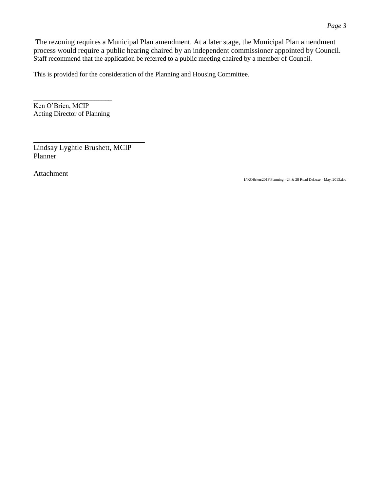The rezoning requires a Municipal Plan amendment. At a later stage, the Municipal Plan amendment process would require a public hearing chaired by an independent commissioner appointed by Council. Staff recommend that the application be referred to a public meeting chaired by a member of Council.

This is provided for the consideration of the Planning and Housing Committee.

\_\_\_\_\_\_\_\_\_\_\_\_\_\_\_\_\_\_\_\_\_\_\_ Ken O'Brien, MCIP Acting Director of Planning

Lindsay Lyghtle Brushett, MCIP Planner

Attachment

I:\KOBrien\2013\Planning - 24 & 28 Road DeLuxe - May, 2013.doc